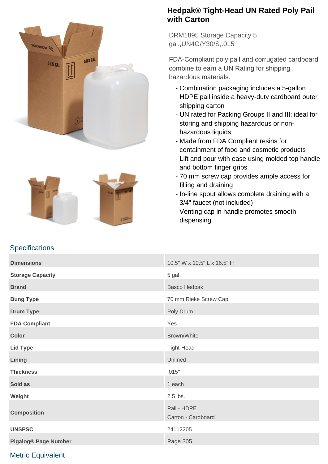



#### **Hedpak® Tight-Head UN Rated Poly Pail with Carton**

DRM1895 Storage Capacity 5 gal.,UN4G/Y30/S,.015"

FDA-Compliant poly pail and corrugated cardboard combine to earn a UN Rating for shipping hazardous materials.

- Combination packaging includes a 5-gallon HDPE pail inside a heavy-duty cardboard outer shipping carton
- UN rated for Packing Groups II and III; ideal for storing and shipping hazardous or nonhazardous liquids
- Made from FDA Compliant resins for containment of food and cosmetic products
- Lift and pour with ease using molded top handle and bottom finger grips
- 70 mm screw cap provides ample access for filling and draining
- In-line spout allows complete draining with a 3/4" faucet (not included)
- Venting cap in handle promotes smooth dispensing

# **Dimensions 10.5" W x 10.5" L x 16.5" H Storage Capacity** 6 and 5 gal. **Brand** Basco Hedpak **Bung Type** 70 mm Rieke Screw Cap **Drum Type** Poly Drum **Poly Drum FDA Compliant** Yes **Color** Brown/White **Lid Type** Tight-Head **Lining** Unlined **Thickness** .015" **Sold as 1 each property of the state of the state of the state of the state of the state of the state of the state of the state of the state of the state of the state of the state of the state of the state of the state of Weight** 2.5 lbs. **Composition** Pail - HDPE Carton - Cardboard **UNSPSC** 24112205 **Pigalog® Page Number** Page 205

## Metric Equivalent

**Specifications**